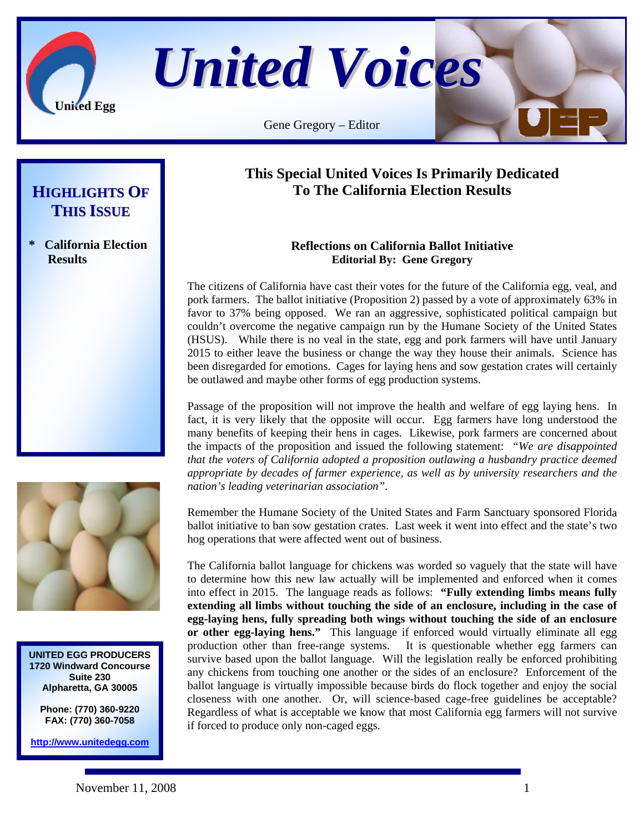

*United Voices*

Gene Gregory – Editor

## **HIGHLIGHTS OF THIS ISSUE**

**\* California Election Results**



**UNITED EGG PRODUCERS 1720 Windward Concourse Suite 230 Alpharetta, GA 30005** 

> **Phone: (770) 360-9220 FAX: (770) 360-7058**

**http://www.unitedegg.com**

## **This Special United Voices Is Primarily Dedicated To The California Election Results**

## **Reflections on California Ballot Initiative Editorial By: Gene Gregory**

The citizens of California have cast their votes for the future of the California egg, veal, and pork farmers. The ballot initiative (Proposition 2) passed by a vote of approximately 63% in favor to 37% being opposed. We ran an aggressive, sophisticated political campaign but couldn't overcome the negative campaign run by the Humane Society of the United States (HSUS). While there is no veal in the state, egg and pork farmers will have until January 2015 to either leave the business or change the way they house their animals. Science has been disregarded for emotions. Cages for laying hens and sow gestation crates will certainly be outlawed and maybe other forms of egg production systems.

Passage of the proposition will not improve the health and welfare of egg laying hens. In fact, it is very likely that the opposite will occur. Egg farmers have long understood the many benefits of keeping their hens in cages. Likewise, pork farmers are concerned about the impacts of the proposition and issued the following statement: *"We are disappointed that the voters of California adopted a proposition outlawing a husbandry practice deemed appropriate by decades of farmer experience, as well as by university researchers and the nation's leading veterinarian association".* 

Remember the Humane Society of the United States and Farm Sanctuary sponsored Florida ballot initiative to ban sow gestation crates. Last week it went into effect and the state's two hog operations that were affected went out of business.

The California ballot language for chickens was worded so vaguely that the state will have to determine how this new law actually will be implemented and enforced when it comes into effect in 2015. The language reads as follows: **"Fully extending limbs means fully extending all limbs without touching the side of an enclosure, including in the case of egg-laying hens, fully spreading both wings without touching the side of an enclosure or other egg-laying hens."** This language if enforced would virtually eliminate all egg production other than free-range systems. It is questionable whether egg farmers can survive based upon the ballot language. Will the legislation really be enforced prohibiting any chickens from touching one another or the sides of an enclosure? Enforcement of the ballot language is virtually impossible because birds do flock together and enjoy the social closeness with one another. Or, will science-based cage-free guidelines be acceptable? Regardless of what is acceptable we know that most California egg farmers will not survive if forced to produce only non-caged eggs.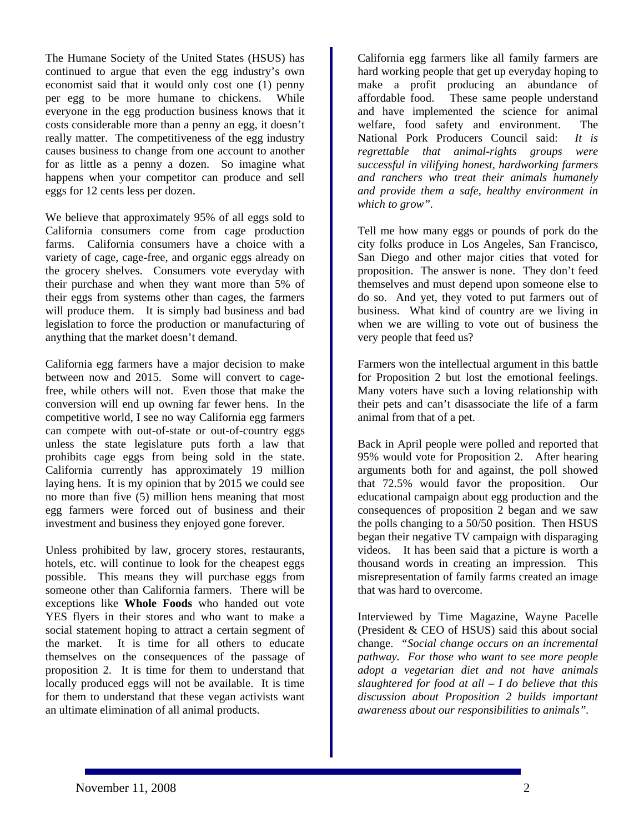The Humane Society of the United States (HSUS) has continued to argue that even the egg industry's own economist said that it would only cost one (1) penny per egg to be more humane to chickens. While everyone in the egg production business knows that it costs considerable more than a penny an egg, it doesn't really matter. The competitiveness of the egg industry causes business to change from one account to another for as little as a penny a dozen. So imagine what happens when your competitor can produce and sell eggs for 12 cents less per dozen.

We believe that approximately 95% of all eggs sold to California consumers come from cage production farms. California consumers have a choice with a variety of cage, cage-free, and organic eggs already on the grocery shelves. Consumers vote everyday with their purchase and when they want more than 5% of their eggs from systems other than cages, the farmers will produce them. It is simply bad business and bad legislation to force the production or manufacturing of anything that the market doesn't demand.

California egg farmers have a major decision to make between now and 2015. Some will convert to cagefree, while others will not. Even those that make the conversion will end up owning far fewer hens. In the competitive world, I see no way California egg farmers can compete with out-of-state or out-of-country eggs unless the state legislature puts forth a law that prohibits cage eggs from being sold in the state. California currently has approximately 19 million laying hens. It is my opinion that by 2015 we could see no more than five (5) million hens meaning that most egg farmers were forced out of business and their investment and business they enjoyed gone forever.

Unless prohibited by law, grocery stores, restaurants, hotels, etc. will continue to look for the cheapest eggs possible. This means they will purchase eggs from someone other than California farmers. There will be exceptions like **Whole Foods** who handed out vote YES flyers in their stores and who want to make a social statement hoping to attract a certain segment of the market. It is time for all others to educate themselves on the consequences of the passage of proposition 2. It is time for them to understand that locally produced eggs will not be available. It is time for them to understand that these vegan activists want an ultimate elimination of all animal products.

California egg farmers like all family farmers are hard working people that get up everyday hoping to make a profit producing an abundance of affordable food. These same people understand and have implemented the science for animal welfare, food safety and environment. The National Pork Producers Council said: *It is regrettable that animal-rights groups were successful in vilifying honest, hardworking farmers and ranchers who treat their animals humanely and provide them a safe, healthy environment in which to grow".* 

Tell me how many eggs or pounds of pork do the city folks produce in Los Angeles, San Francisco, San Diego and other major cities that voted for proposition. The answer is none. They don't feed themselves and must depend upon someone else to do so. And yet, they voted to put farmers out of business. What kind of country are we living in when we are willing to vote out of business the very people that feed us?

Farmers won the intellectual argument in this battle for Proposition 2 but lost the emotional feelings. Many voters have such a loving relationship with their pets and can't disassociate the life of a farm animal from that of a pet.

Back in April people were polled and reported that 95% would vote for Proposition 2. After hearing arguments both for and against, the poll showed that 72.5% would favor the proposition. Our educational campaign about egg production and the consequences of proposition 2 began and we saw the polls changing to a 50/50 position. Then HSUS began their negative TV campaign with disparaging videos. It has been said that a picture is worth a thousand words in creating an impression. This misrepresentation of family farms created an image that was hard to overcome.

Interviewed by Time Magazine, Wayne Pacelle (President & CEO of HSUS) said this about social change. *"Social change occurs on an incremental pathway. For those who want to see more people adopt a vegetarian diet and not have animals slaughtered for food at all – I do believe that this discussion about Proposition 2 builds important awareness about our responsibilities to animals".*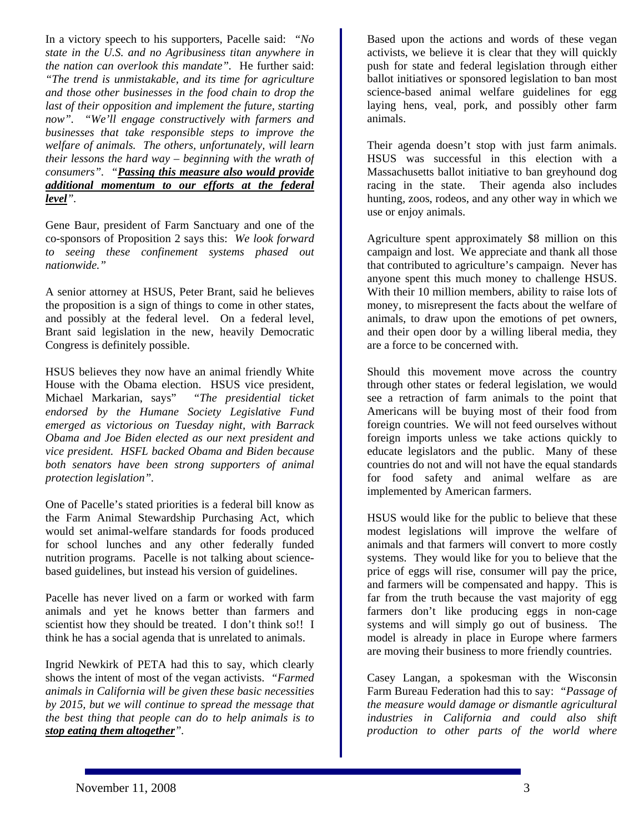In a victory speech to his supporters, Pacelle said: *"No state in the U.S. and no Agribusiness titan anywhere in the nation can overlook this mandate".* He further said: *"The trend is unmistakable, and its time for agriculture and those other businesses in the food chain to drop the last of their opposition and implement the future, starting now". "We'll engage constructively with farmers and businesses that take responsible steps to improve the welfare of animals. The others, unfortunately, will learn their lessons the hard way – beginning with the wrath of consumers". "Passing this measure also would provide additional momentum to our efforts at the federal level".* 

Gene Baur, president of Farm Sanctuary and one of the co-sponsors of Proposition 2 says this: *We look forward to seeing these confinement systems phased out nationwide."* 

A senior attorney at HSUS, Peter Brant, said he believes the proposition is a sign of things to come in other states, and possibly at the federal level. On a federal level, Brant said legislation in the new, heavily Democratic Congress is definitely possible.

HSUS believes they now have an animal friendly White House with the Obama election. HSUS vice president, Michael Markarian, says" *"The presidential ticket endorsed by the Humane Society Legislative Fund emerged as victorious on Tuesday night, with Barrack Obama and Joe Biden elected as our next president and vice president. HSFL backed Obama and Biden because both senators have been strong supporters of animal protection legislation".* 

One of Pacelle's stated priorities is a federal bill know as the Farm Animal Stewardship Purchasing Act, which would set animal-welfare standards for foods produced for school lunches and any other federally funded nutrition programs. Pacelle is not talking about sciencebased guidelines, but instead his version of guidelines.

Pacelle has never lived on a farm or worked with farm animals and yet he knows better than farmers and scientist how they should be treated. I don't think so!! I think he has a social agenda that is unrelated to animals.

Ingrid Newkirk of PETA had this to say, which clearly shows the intent of most of the vegan activists. *"Farmed animals in California will be given these basic necessities by 2015, but we will continue to spread the message that the best thing that people can do to help animals is to stop eating them altogether".*

Based upon the actions and words of these vegan activists, we believe it is clear that they will quickly push for state and federal legislation through either ballot initiatives or sponsored legislation to ban most science-based animal welfare guidelines for egg laying hens, veal, pork, and possibly other farm animals.

Their agenda doesn't stop with just farm animals. HSUS was successful in this election with a Massachusetts ballot initiative to ban greyhound dog racing in the state. Their agenda also includes hunting, zoos, rodeos, and any other way in which we use or enjoy animals.

Agriculture spent approximately \$8 million on this campaign and lost. We appreciate and thank all those that contributed to agriculture's campaign. Never has anyone spent this much money to challenge HSUS. With their 10 million members, ability to raise lots of money, to misrepresent the facts about the welfare of animals, to draw upon the emotions of pet owners, and their open door by a willing liberal media, they are a force to be concerned with.

Should this movement move across the country through other states or federal legislation, we would see a retraction of farm animals to the point that Americans will be buying most of their food from foreign countries. We will not feed ourselves without foreign imports unless we take actions quickly to educate legislators and the public. Many of these countries do not and will not have the equal standards for food safety and animal welfare as are implemented by American farmers.

HSUS would like for the public to believe that these modest legislations will improve the welfare of animals and that farmers will convert to more costly systems. They would like for you to believe that the price of eggs will rise, consumer will pay the price, and farmers will be compensated and happy. This is far from the truth because the vast majority of egg farmers don't like producing eggs in non-cage systems and will simply go out of business. The model is already in place in Europe where farmers are moving their business to more friendly countries.

Casey Langan, a spokesman with the Wisconsin Farm Bureau Federation had this to say: *"Passage of the measure would damage or dismantle agricultural industries in California and could also shift production to other parts of the world where*